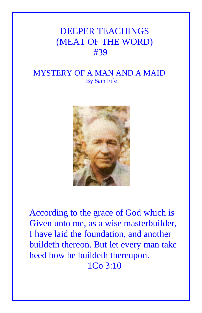## DEEPER TEACHINGS (MEAT OF THE WORD) #39

## MYSTERY OF A MAN AND A MAID By Sam Fife



According to the grace of God which is Given unto me, as a wise masterbuilder, I have laid the foundation, and another buildeth thereon. But let every man take heed how he buildeth thereupon. 1Co 3:10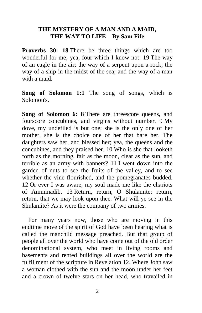## **THE MYSTERY OF A MAN AND A MAID, THE WAY TO LIFE By Sam Fife**

**Proverbs 30: 18** There be three things which are too wonderful for me, yea, four which I know not: 19 The way of an eagle in the air; the way of a serpent upon a rock; the way of a ship in the midst of the sea; and the way of a man with a maid.

**Song of Solomon 1:1** The song of songs, which is Solomon's.

Song of Solomon 6: 8 There are threescore queens, and fourscore concubines, and virgins without number. 9 My dove, my undefiled is but one; she is the only one of her mother, she is the choice one of her that bare her. The daughters saw her, and blessed her; yea, the queens and the concubines, and they praised her. 10 Who is she that looketh forth as the morning, fair as the moon, clear as the sun, and terrible as an army with banners? 11 I went down into the garden of nuts to see the fruits of the valley, and to see whether the vine flourished, and the pomegranates budded. 12 Or ever I was aware, my soul made me like the chariots of Amminadib. 13 Return, return, O Shulamite; return, return, that we may look upon thee. What will ye see in the Shulamite? As it were the company of two armies.

 For many years now, those who are moving in this endtime move of the spirit of God have been hearing what is called the manchild message preached. But that group of people all over the world who have come out of the old order denominational system, who meet in living rooms and basements and rented buildings all over the world are the fulfillment of the scripture in Revelation 12. Where John saw a woman clothed with the sun and the moon under her feet and a crown of twelve stars on her head, who travailed in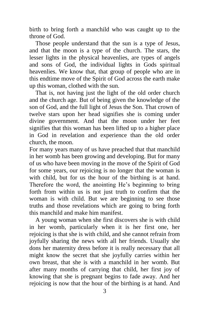birth to bring forth a manchild who was caught up to the throne of God.

 Those people understand that the sun is a type of Jesus, and that the moon is a type of the church. The stars, the lesser lights in the physical heavenlies, are types of angels and sons of God, the individual lights in Gods spiritual heavenlies. We know that, that group of people who are in this endtime move of the Spirit of God across the earth make up this woman, clothed with the sun.

 That is, not having just the light of the old order church and the church age. But of being given the knowledge of the son of God, and the full light of Jesus the Son. That crown of twelve stars upon her head signifies she is coming under divine government. And that the moon under her feet signifies that this woman has been lifted up to a higher place in God in revelation and experience than the old order church, the moon.

For many years many of us have preached that that manchild in her womb has been growing and developing. But for many of us who have been moving in the move of the Spirit of God for some years, our rejoicing is no longer that the woman is with child, but for us the hour of the birthing is at hand. Therefore the word, the anointing He's beginning to bring forth from within us is not just truth to confirm that the woman is with child. But we are beginning to see those truths and those revelations which are going to bring forth this manchild and make him manifest.

 A young woman when she first discovers she is with child in her womb, particularly when it is her first one, her rejoicing is that she is with child, and she cannot refrain from joyfully sharing the news with all her friends. Usually she dons her maternity dress before it is really necessary that all might know the secret that she joyfully carries within her own breast, that she is with a manchild in her womb. But after many months of carrying that child, her first joy of knowing that she is pregnant begins to fade away. And her rejoicing is now that the hour of the birthing is at hand. And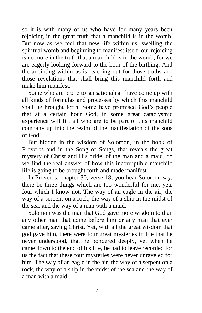so it is with many of us who have for many years been rejoicing in the great truth that a manchild is in the womb. But now as we feel that new life within us, swelling the spiritual womb and beginning to manifest itself, our rejoicing is no more in the truth that a manchild is in the womb, for we are eagerly looking forward to the hour of the birthing. And the anointing within us is reaching out for those truths and those revelations that shall bring this manchild forth and make him manifest.

 Some who are prone to sensationalism have come up with all kinds of formulas and processes by which this manchild shall be brought forth. Some have promised God's people that at a certain hour God, in some great cataclysmic experience will lift all who are to be part of this manchild company up into the realm of the manifestation of the sons of God.

 But hidden in the wisdom of Solomon, in the book of Proverbs and in the Song of Songs, that reveals the great mystery of Christ and His bride, of the man and a maid, do we find the real answer of how this incorruptible manchild life is going to be brought forth and made manifest.

 In Proverbs, chapter 30, verse 18; you hear Solomon say, there be three things which are too wonderful for me, yea, four which I know not. The way of an eagle in the air, the way of a serpent on a rock, the way of a ship in the midst of the sea, and the way of a man with a maid.

 Solomon was the man that God gave more wisdom to than any other man that come before him or any man that ever came after, saving Christ. Yet, with all the great wisdom that god gave him, there were four great mysteries in life that he never understood, that he pondered deeply, yet when he came down to the end of his life, he had to leave recorded for us the fact that these four mysteries were never unraveled for him. The way of an eagle in the air, the way of a serpent on a rock, the way of a ship in the midst of the sea and the way of a man with a maid.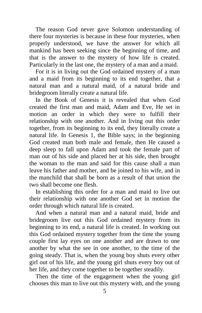The reason God never gave Solomon understanding of there four mysteries is because in these four mysteries, when properly understood, we have the answer for which all mankind has been seeking since the beginning of time, and that is the answer to the mystery of how life is created. Particularly in the last one, the mystery of a man and a maid.

 For it is in living out the God ordained mystery of a man and a maid from its beginning to its end together, that a natural man and a natural maid, of a natural bride and bridegroom literally create a natural life.

 In the Book of Genesis it is revealed that when God created the first man and maid, Adam and Eve, He set in motion an order in which they were to fulfill their relationship with one another. And in living out this order together, from its beginning to its end, they literally create a natural life. In Genesis 1, the Bible says; in the beginning God created man both male and female, then He caused a deep sleep to fall upon Adam and took the female part of man out of his side and placed her at his side, then brought the woman to the man and said for this cause shall a man leave his father and mother, and be joined to his wife, and in the manchild that shall be born as a result of that union the two shall become one flesh.

 In establishing this order for a man and maid to live out their relationship with one another God set in motion the order through which natural life is created.

 And when a natural man and a natural maid, bride and bridegroom live out this God ordained mystery from its beginning to its end, a natural life is created. In working out this God ordained mystery together from the time the young couple first lay eyes on one another and are drawn to one another by what the see in one another, to the time of the going steady. That is, when the young boy shuts every other girl out of his life, and the young girl shuts every boy out of her life, and they come together to be together steadily.

 Then the time of the engagement when the young girl chooses this man to live out this mystery with, and the young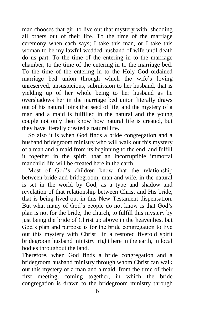man chooses that girl to live out that mystery with, shedding all others out of their life. To the time of the marriage ceremony when each says; I take this man, or I take this woman to be my lawful wedded husband of wife until death do us part. To the time of the entering in to the marriage chamber, to the time of the entering in to the marriage bed. To the time of the entering in to the Holy God ordained marriage bed union through which the wife's loving unreserved, unsuspicious, submission to her husband, that is yielding up of her whole being to her husband as he overshadows her in the marriage bed union literally draws out of his natural loins that seed of life, and the mystery of a man and a maid is fulfilled in the natural and the young couple not only then know how natural life is created, but they have literally created a natural life.

 So also it is when God finds a bride congregation and a husband bridegroom ministry who will walk out this mystery of a man and a maid from its beginning to the end, and fulfill it together in the spirit, that an incorruptible immortal manchild life will be created here in the earth.

 Most of God's children know that the relationship between bride and bridegroom, man and wife, in the natural is set in the world by God, as a type and shadow and revelation of that relationship between Christ and His bride, that is being lived out in this New Testament dispensation. But what many of God's people do not know is that God's plan is not for the bride, the church, to fulfill this mystery by just being the bride of Christ up above in the heavenlies, but God's plan and purpose is for the bride congregation to live out this mystery with Christ in a restored fivefold spirit bridegroom husband ministry right here in the earth, in local bodies throughout the land.

Therefore, when God finds a bride congregation and a bridegroom husband ministry through whom Christ can walk out this mystery of a man and a maid, from the time of their first meeting, coming together, in which the bride congregation is drawn to the bridegroom ministry through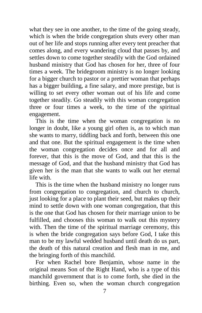what they see in one another, to the time of the going steady, which is when the bride congregation shuts every other man out of her life and stops running after every tent preacher that comes along, and every wandering cloud that passes by, and settles down to come together steadily with the God ordained husband ministry that God has chosen for her, three of four times a week. The bridegroom ministry is no longer looking for a bigger church to pastor or a prettier woman that perhaps has a bigger building, a fine salary, and more prestige, but is willing to set every other woman out of his life and come together steadily. Go steadily with this woman congregation three or four times a week, to the time of the spiritual engagement.

 This is the time when the woman congregation is no longer in doubt, like a young girl often is, as to which man she wants to marry, tiddling back and forth, between this one and that one. But the spiritual engagement is the time when the woman congregation decides once and for all and forever, that this is the move of God, and that this is the message of God, and that the husband ministry that God has given her is the man that she wants to walk out her eternal life with.

 This is the time when the husband ministry no longer runs from congregation to congregation, and church to church, just looking for a place to plant their seed, but makes up their mind to settle down with one woman congregation, that this is the one that God has chosen for their marriage union to be fulfilled, and chooses this woman to walk out this mystery with. Then the time of the spiritual marriage ceremony, this is when the bride congregation says before God, I take this man to be my lawful wedded husband until death do us part, the death of this natural creation and flesh man in me, and the bringing forth of this manchild.

 For when Rachel bore Benjamin, whose name in the original means Son of the Right Hand, who is a type of this manchild government that is to come forth, she died in the birthing. Even so, when the woman church congregation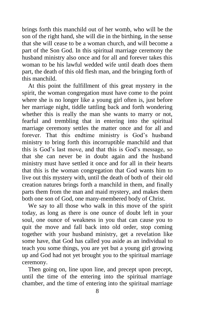brings forth this manchild out of her womb, who will be the son of the right hand, she will die in the birthing, in the sense that she will cease to be a woman church, and will become a part of the Son God. In this spiritual marriage ceremony the husband ministry also once and for all and forever takes this woman to be his lawful wedded wife until death does them part, the death of this old flesh man, and the bringing forth of this manchild.

 At this point the fulfillment of this great mystery in the spirit, the woman congregation must have come to the point where she is no longer like a young girl often is, just before her marriage night, tiddle tattling back and forth wondering whether this is really the man she wants to marry or not, fearful and trembling that in entering into the spiritual marriage ceremony settles the matter once and for all and forever. That this endtime ministry is God's husband ministry to bring forth this incorruptible manchild and that this is God's last move, and that this is God's message, so that she can never be in doubt again and the husband ministry must have settled it once and for all in their hearts that this is the woman congregation that God wants him to live out this mystery with, until the death of both of their old creation natures brings forth a manchild in them, and finally parts them from the man and maid mystery, and makes them both one son of God, one many-membered body of Christ.

 We say to all those who walk in this move of the spirit today, as long as there is one ounce of doubt left in your soul, one ounce of weakness in you that can cause you to quit the move and fall back into old order, stop coming together with your husband ministry, get a revelation like some have, that God has called you aside as an individual to teach you some things, you are yet but a young girl growing up and God had not yet brought you to the spiritual marriage ceremony.

 Then going on, line upon line, and precept upon precept, until the time of the entering into the spiritual marriage chamber, and the time of entering into the spiritual marriage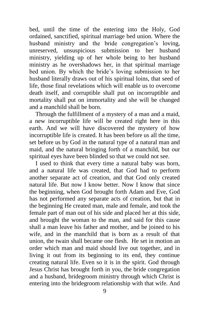bed, until the time of the entering into the Holy, God ordained, sanctified, spiritual marriage bed union. Where the husband ministry and the bride congregation's loving, unreserved, unsuspicious submission to her husband ministry, yielding up of her whole being to her husband ministry as he overshadows her, in that spiritual marriage bed union. By which the bride's loving submission to her husband literally draws out of his spiritual loins, that seed of life, those final revelations which will enable us to overcome death itself, and corruptible shall put on incorruptible and mortality shall put on immortality and she will be changed and a manchild shall be born.

 Through the fulfillment of a mystery of a man and a maid, a new incorruptible life will be created right here in this earth. And we will have discovered the mystery of how incorruptible life is created. It has been before us all the time, set before us by God in the natural type of a natural man and maid, and the natural bringing forth of a manchild, but our spiritual eyes have been blinded so that we could not see.

 I used to think that every time a natural baby was born, and a natural life was created, that God had to perform another separate act of creation, and that God only created natural life. But now I know better. Now I know that since the beginning, when God brought forth Adam and Eve, God has not performed any separate acts of creation, but that in the beginning He created man, male and female, and took the female part of man out of his side and placed her at this side, and brought the woman to the man, and said for this cause shall a man leave his father and mother, and be joined to his wife, and in the manchild that is born as a result of that union, the twain shall became one flesh. He set in motion an order which man and maid should live out together, and in living it out from its beginning to its end, they continue creating natural life. Even so it is in the spirit. God through Jesus Christ has brought forth in you, the bride congregation and a husband, bridegroom ministry through which Christ is entering into the bridegroom relationship with that wife. And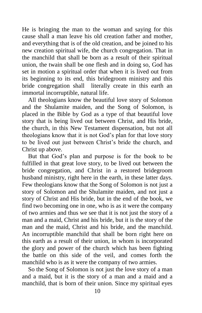He is bringing the man to the woman and saying for this cause shall a man leave his old creation father and mother, and everything that is of the old creation, and be joined to his new creation spiritual wife, the church congregation. That in the manchild that shall be born as a result of their spiritual union, the twain shall be one flesh and in doing so, God has set in motion a spiritual order that when it is lived out from its beginning to its end, this bridegroom ministry and this bride congregation shall literally create in this earth an immortal incorruptible, natural life.

 All theologians know the beautiful love story of Solomon and the Shulamite maiden, and the Song of Solomon, is placed in the Bible by God as a type of that beautiful love story that is being lived out between Christ, and His bride, the church, in this New Testament dispensation, but not all theologians know that it is not God's plan for that love story to be lived out just between Christ's bride the church, and Christ up above.

 But that God's plan and purpose is for the book to be fulfilled in that great love story, to be lived out between the bride congregation, and Christ in a restored bridegroom husband ministry, right here in the earth, in these latter days. Few theologians know that the Song of Solomon is not just a story of Solomon and the Shulamite maiden, and not just a story of Christ and His bride, but in the end of the book, we find two becoming one in one, who is as it were the company of two armies and thus we see that it is not just the story of a man and a maid, Christ and his bride, but it is the story of the man and the maid, Christ and his bride, and the manchild. An incorruptible manchild that shall be born right here on this earth as a result of their union, in whom is incorporated the glory and power of the church which has been fighting the battle on this side of the veil, and comes forth the manchild who is as it were the company of two armies.

 So the Song of Solomon is not just the love story of a man and a maid, but it is the story of a man and a maid and a manchild, that is born of their union. Since my spiritual eyes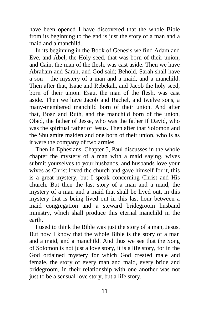have been opened I have discovered that the whole Bible from its beginning to the end is just the story of a man and a maid and a manchild.

 In its beginning in the Book of Genesis we find Adam and Eve, and Abel, the Holy seed, that was born of their union, and Cain, the man of the flesh, was cast aside. Then we have Abraham and Sarah, and God said; Behold, Sarah shall have a son – the mystery of a man and a maid, and a manchild. Then after that, Isaac and Rebekah, and Jacob the holy seed, born of their union. Esau, the man of the flesh, was cast aside. Then we have Jacob and Rachel, and twelve sons, a many-membered manchild born of their union. And after that, Boaz and Ruth, and the manchild born of the union, Obed, the father of Jesse, who was the father if David, who was the spiritual father of Jesus. Then after that Solomon and the Shulamite maiden and one born of their union, who is as it were the company of two armies.

 Then in Ephesians, Chapter 5, Paul discusses in the whole chapter the mystery of a man with a maid saying, wives submit yourselves to your husbands, and husbands love your wives as Christ loved the church and gave himself for it, this is a great mystery, but I speak concerning Christ and His church. But then the last story of a man and a maid, the mystery of a man and a maid that shall be lived out, in this mystery that is being lived out in this last hour between a maid congregation and a steward bridegroom husband ministry, which shall produce this eternal manchild in the earth.

 I used to think the Bible was just the story of a man, Jesus. But now I know that the whole Bible is the story of a man and a maid, and a manchild. And thus we see that the Song of Solomon is not just a love story, it is a life story, for in the God ordained mystery for which God created male and female, the story of every man and maid, every bride and bridegroom, in their relationship with one another was not just to be a sensual love story, but a life story.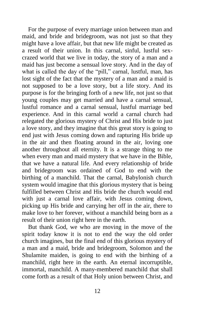For the purpose of every marriage union between man and maid, and bride and bridegroom, was not just so that they might have a love affair, but that new life might be created as a result of their union. In this carnal, sinful, lustful sexcrazed world that we live in today, the story of a man and a maid has just become a sensual love story. And in the day of what is called the day of the "pill," carnal, lustful, man, has lost sight of the fact that the mystery of a man and a maid is not supposed to be a love story, but a life story. And its purpose is for the bringing forth of a new life, not just so that young couples may get married and have a carnal sensual, lustful romance and a carnal sensual, lustful marriage bed experience. And in this carnal world a carnal church had relegated the glorious mystery of Christ and His bride to just a love story, and they imagine that this great story is going to end just with Jesus coming down and rapturing His bride up in the air and then floating around in the air, loving one another throughout all eternity. It is a strange thing to me when every man and maid mystery that we have in the Bible, that we have a natural life. And every relationship of bride and bridegroom was ordained of God to end with the birthing of a manchild. That the carnal, Babylonish church system would imagine that this glorious mystery that is being fulfilled between Christ and His bride the church would end with just a carnal love affair, with Jesus coming down, picking up His bride and carrying her off in the air, there to make love to her forever, without a manchild being born as a result of their union right here in the earth.

 But thank God, we who are moving in the move of the spirit today know it is not to end the way the old order church imagines, but the final end of this glorious mystery of a man and a maid, bride and bridegroom, Solomon and the Shulamite maiden, is going to end with the birthing of a manchild, right here in the earth. An eternal incorruptible, immortal, manchild. A many-membered manchild that shall come forth as a result of that Holy union between Christ, and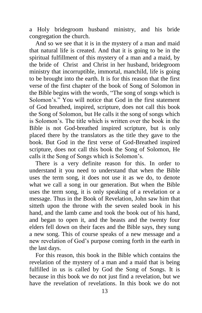a Holy bridegroom husband ministry, and his bride congregation the church.

 And so we see that it is in the mystery of a man and maid that natural life is created. And that it is going to be in the spiritual fulfillment of this mystery of a man and a maid, by the bride of Christ and Christ in her husband, bridegroom ministry that incorruptible, immortal, manchild, life is going to be brought into the earth. It is for this reason that the first verse of the first chapter of the book of Song of Solomon in the Bible begins with the words, "The song of songs which is Solomon's." You will notice that God in the first statement of God breathed, inspired, scripture, does not call this book the Song of Solomon, but He calls it the song of songs which is Solomon's. The title which is written over the book in the Bible is not God-breathed inspired scripture, but is only placed there by the translators as the title they gave to the book. But God in the first verse of God-Breathed inspired scripture, does not call this book the Song of Solomon, He calls it the Song of Songs which is Solomon's.

 There is a very definite reason for this. In order to understand it you need to understand that when the Bible uses the term song, it does not use it as we do, to denote what we call a song in our generation. But when the Bible uses the term song, it is only speaking of a revelation or a message. Thus in the Book of Revelation, John saw him that sitteth upon the throne with the seven sealed book in his hand, and the lamb came and took the book out of his hand, and began to open it, and the beasts and the twenty four elders fell down on their faces and the Bible says, they sung a new song. This of course speaks of a new message and a new revelation of God's purpose coming forth in the earth in the last days.

 For this reason, this book in the Bible which contains the revelation of the mystery of a man and a maid that is being fulfilled in us is called by God the Song of Songs. It is because in this book we do not just find a revelation, but we have the revelation of revelations. In this book we do not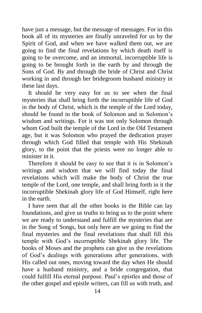have just a message, but the message of messages. For in this book all of its mysteries are finally unraveled for us by the Spirit of God, and when we have walked them out, we are going to find the final revelations by which death itself is going to be overcome, and an immortal, incorruptible life is going to be brought forth in the earth by and through the Sons of God. By and through the bride of Christ and Christ working in and through her bridegroom husband ministry in these last days.

 It should be very easy for us to see when the final mysteries that shall bring forth the incorruptible life of God in the body of Christ, which is the temple of the Lord today, should be found in the book of Solomon and in Solomon's wisdom and writings. For it was not only Solomon through whom God built the temple of the Lord in the Old Testament age, but it was Solomon who prayed the dedication prayer through which God filled that temple with His Shekinah glory, to the point that the priests were no longer able to minister in it.

 Therefore it should be easy to see that it is in Solomon's writings and wisdom that we will find today the final revelations which will make the body of Christ the true temple of the Lord, one temple, and shall bring forth in it the incorruptible Shekinah glory life of God Himself, right here in the earth.

 I have seen that all the other books in the Bible can lay foundations, and give us truths to bring us to the point where we are ready to understand and fulfill the mysteries that are in the Song of Songs, but only here are we going to find the final mysteries and the final revelations that shall fill this temple with God's incorruptible Shekinah glory life. The books of Moses and the prophets can give us the revelations of God's dealings with generations after generations, with His called out ones, moving toward the day when He should have a husband ministry, and a bride congregation, that could fulfill His eternal purpose. Paul's epistles and those of the other gospel and epistle writers, can fill us with truth, and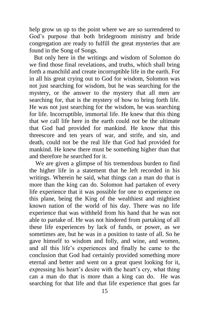help grow us up to the point where we are so surrendered to God's purpose that both bridegroom ministry and bride congregation are ready to fulfill the great mysteries that are found in the Song of Songs.

 But only here in the writings and wisdom of Solomon do we find those final revelations, and truths, which shall bring forth a manchild and create incorruptible life in the earth. For in all his great crying out to God for wisdom, Solomon was not just searching for wisdom, but he was searching for the mystery, or the answer to the mystery that all men are searching for, that is the mystery of how to bring forth life. He was not just searching for the wisdom, he was searching for life. Incorruptible, immortal life. He knew that this thing that we call life here in the earth could not be the ultimate that God had provided for mankind. He know that this threescore and ten years of war, and strife, and sin, and death, could not be the real life that God had provided for mankind. He knew there must be something higher than that and therefore he searched for it.

 We are given a glimpse of his tremendous burden to find the higher life in a statement that he left recorded in his writings. Wherein he said, what things can a man do that is more than the king can do. Solomon had partaken of every life experience that it was possible for one to experience on this plane, being the King of the wealthiest and mightiest known nation of the world of his day. There was no life experience that was withheld from his hand that he was not able to partake of. He was not hindered from partaking of all these life experiences by lack of funds, or power, as we sometimes are, but he was in a position to taste of all. So he gave himself to wisdom and folly, and wine, and women, and all this life's experiences and finally he came to the conclusion that God had certainly provided something more eternal and better and went on a great quest looking for it, expressing his heart's desire with the heart's cry, what thing can a man do that is more than a king can do. He was searching for that life and that life experience that goes far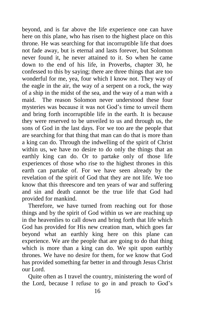beyond, and is far above the life experience one can have here on this plane, who has risen to the highest place on this throne. He was searching for that incorruptible life that does not fade away, but is eternal and lasts forever, but Solomon never found it, he never attained to it. So when he came down to the end of his life, in Proverbs, chapter 30, he confessed to this by saying; there are three things that are too wonderful for me, yea, four which I know not. They way of the eagle in the air, the way of a serpent on a rock, the way of a ship in the midst of the sea, and the way of a man with a maid. The reason Solomon never understood these four mysteries was because it was not God's time to unveil them and bring forth incorruptible life in the earth. It is because they were reserved to be unveiled to us and through us, the sons of God in the last days. For we too are the people that are searching for that thing that man can do that is more than a king can do. Through the indwelling of the spirit of Christ within us, we have no desire to do only the things that an earthly king can do. Or to partake only of those life experiences of those who rise to the highest thrones in this earth can partake of. For we have seen already by the revelation of the spirit of God that they are not life. We too know that this threescore and ten years of war and suffering and sin and death cannot be the true life that God had provided for mankind.

 Therefore, we have turned from reaching out for those things and by the spirit of God within us we are reaching up in the heavenlies to call down and bring forth that life which God has provided for His new creation man, which goes far beyond what an earthly king here on this plane can experience. We are the people that are going to do that thing which is more than a king can do. We spit upon earthly thrones. We have no desire for them, for we know that God has provided something far better in and through Jesus Christ our Lord.

 Quite often as I travel the country, ministering the word of the Lord, because I refuse to go in and preach to God's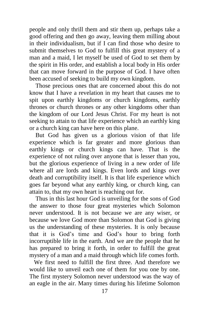people and only thrill them and stir them up, perhaps take a good offering and then go away, leaving them milling about in their individualism, but if I can find those who desire to submit themselves to God to fulfill this great mystery of a man and a maid, I let myself be used of God to set them by the spirit in His order, and establish a local body in His order that can move forward in the purpose of God. I have often been accused of seeking to build my own kingdom.

 Those precious ones that are concerned about this do not know that I have a revelation in my heart that causes me to spit upon earthly kingdoms or church kingdoms, earthly thrones or church thrones or any other kingdoms other than the kingdom of our Lord Jesus Christ. For my heart is not seeking to attain to that life experience which an earthly king or a church king can have here on this plane.

 But God has given us a glorious vision of that life experience which is far greater and more glorious than earthly kings or church kings can have. That is the experience of not ruling over anyone that is lesser than you, but the glorious experience of living in a new order of life where all are lords and kings. Even lords and kings over death and corruptibility itself. It is that life experience which goes far beyond what any earthly king, or church king, can attain to, that my own heart is reaching out for.

 Thus in this last hour God is unveiling for the sons of God the answer to those four great mysteries which Solomon never understood. It is not because we are any wiser, or because we love God more than Solomon that God is giving us the understanding of these mysteries. It is only because that it is God's time and God's hour to bring forth incorruptible life in the earth. And we are the people that he has prepared to bring it forth, in order to fulfill the great mystery of a man and a maid through which life comes forth.

 We first need to fulfill the first three. And therefore we would like to unveil each one of them for you one by one. The first mystery Solomon never understood was the way of an eagle in the air. Many times during his lifetime Solomon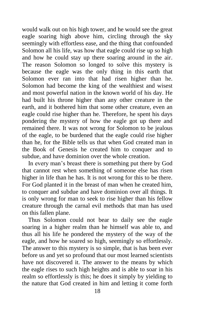would walk out on his high tower, and he would see the great eagle soaring high above him, circling through the sky seemingly with effortless ease, and the thing that confounded Solomon all his life, was how that eagle could rise up so high and how he could stay up there soaring around in the air. The reason Solomon so longed to solve this mystery is because the eagle was the only thing in this earth that Solomon ever ran into that had risen higher than he. Solomon had become the king of the wealthiest and wisest and most powerful nation in the known world of his day. He had built his throne higher than any other creature in the earth, and it bothered him that some other creature, even an eagle could rise higher than he. Therefore, he spent his days pondering the mystery of how the eagle got up there and remained there. It was not wrong for Solomon to be jealous of the eagle, to be burdened that the eagle could rise higher than he, for the Bible tells us that when God created man in the Book of Genesis he created him to conquer and to subdue, and have dominion over the whole creation.

 In every man's breast there is something put there by God that cannot rest when something of someone else has risen higher in life than he has. It is not wrong for this to be there. For God planted it in the breast of man when he created him, to conquer and subdue and have dominion over all things. It is only wrong for man to seek to rise higher than his fellow creature through the carnal evil methods that man has used on this fallen plane.

 Thus Solomon could not bear to daily see the eagle soaring in a higher realm than he himself was able to, and thus all his life he pondered the mystery of the way of the eagle, and how he soared so high, seemingly so effortlessly. The answer to this mystery is so simple, that is has been ever before us and yet so profound that our most learned scientists have not discovered it. The answer to the means by which the eagle rises to such high heights and is able to soar in his realm so effortlessly is this; he does it simply by yielding to the nature that God created in him and letting it come forth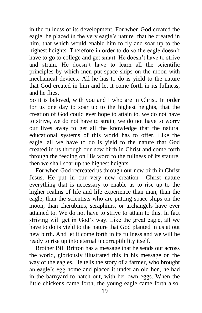in the fullness of its development. For when God created the eagle, he placed in the very eagle's nature that he created in him, that which would enable him to fly and soar up to the highest heights. Therefore in order to do so the eagle doesn't have to go to college and get smart. He doesn't have to strive and strain. He doesn't have to learn all the scientific principles by which men put space ships on the moon with mechanical devices. All he has to do is yield to the nature that God created in him and let it come forth in its fullness, and he flies.

So it is beloved, with you and I who are in Christ. In order for us one day to soar up to the highest heights, that the creation of God could ever hope to attain to, we do not have to strive, we do not have to strain, we do not have to worry our lives away to get all the knowledge that the natural educational systems of this world has to offer. Like the eagle, all we have to do is yield to the nature that God created in us through our new birth in Christ and come forth through the feeding on His word to the fullness of its stature, then we shall soar up the highest heights.

 For when God recreated us through our new birth in Christ Jesus, He put in our very new creation Christ nature everything that is necessary to enable us to rise up to the higher realms of life and life experience than man, than the eagle, than the scientists who are putting space ships on the moon, than cherubims, seraphims, or archangels have ever attained to. We do not have to strive to attain to this. In fact striving will get in God's way. Like the great eagle, all we have to do is yield to the nature that God planted in us at out new birth. And let it come forth in its fullness and we will be ready to rise up into eternal incorruptibility itself.

 Brother Bill Britton has a message that he sends out across the world, gloriously illustrated this in his message on the way of the eagles. He tells the story of a farmer, who brought an eagle's egg home and placed it under an old hen, he had in the barnyard to hatch out, with her own eggs. When the little chickens came forth, the young eagle came forth also.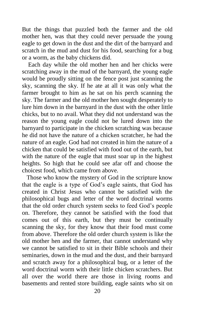But the things that puzzled both the farmer and the old mother hen, was that they could never persuade the young eagle to get down in the dust and the dirt of the barnyard and scratch in the mud and dust for his food, searching for a bug or a worm, as the baby chickens did.

 Each day while the old mother hen and her chicks were scratching away in the mud of the barnyard, the young eagle would be proudly sitting on the fence post just scanning the sky, scanning the sky. If he ate at all it was only what the farmer brought to him as he sat on his perch scanning the sky. The farmer and the old mother hen sought desperately to lure him down in the barnyard in the dust with the other little chicks, but to no avail. What they did not understand was the reason the young eagle could not be lured down into the barnyard to participate in the chicken scratching was because he did not have the nature of a chicken scratcher, he had the nature of an eagle. God had not created in him the nature of a chicken that could be satisfied with food out of the earth, but with the nature of the eagle that must soar up in the highest heights. So high that he could see afar off and choose the choicest food, which came from above.

 Those who know the mystery of God in the scripture know that the eagle is a type of God's eagle saints, that God has created in Christ Jesus who cannot be satisfied with the philosophical bugs and letter of the word doctrinal worms that the old order church system seeks to feed God's people on. Therefore, they cannot be satisfied with the food that comes out of this earth, but they must be continually scanning the sky, for they know that their food must come from above. Therefore the old order church system is like the old mother hen and the farmer, that cannot understand why we cannot be satisfied to sit in their Bible schools and their seminaries, down in the mud and the dust, and their barnyard and scratch away for a philosophical bug, or a letter of the word doctrinal worm with their little chicken scratchers. But all over the world there are those in living rooms and basements and rented store building, eagle saints who sit on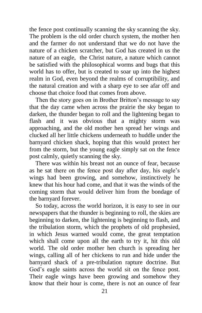the fence post continually scanning the sky scanning the sky. The problem is the old order church system, the mother hen and the farmer do not understand that we do not have the nature of a chicken scratcher, but God has created in us the nature of an eagle, the Christ nature, a nature which cannot be satisfied with the philosophical worms and bugs that this world has to offer, but is created to soar up into the highest realm in God, even beyond the realms of corruptibility, and the natural creation and with a sharp eye to see afar off and choose that choice food that comes from above.

 Then the story goes on in Brother Britton's message to say that the day came when across the prairie the sky began to darken, the thunder began to roll and the lightening began to flash and it was obvious that a mighty storm was approaching, and the old mother hen spread her wings and clucked all her little chickens underneath to huddle under the barnyard chicken shack, hoping that this would protect her from the storm, but the young eagle simply sat on the fence post calmly, quietly scanning the sky.

 There was within his breast not an ounce of fear, because as he sat there on the fence post day after day, his eagle's wings had been growing, and somehow, instinctively he knew that his hour had come, and that it was the winds of the coming storm that would deliver him from the bondage of the barnyard forever.

 So today, across the world horizon, it is easy to see in our newspapers that the thunder is beginning to roll, the skies are beginning to darken, the lightening is beginning to flash, and the tribulation storm, which the prophets of old prophesied, in which Jesus warned would come, the great temptation which shall come upon all the earth to try it, hit this old world. The old order mother hen church is spreading her wings, calling all of her chickens to run and hide under the barnyard shack of a pre-tribulation rapture doctrine. But God's eagle saints across the world sit on the fence post. Their eagle wings have been growing and somehow they know that their hour is come, there is not an ounce of fear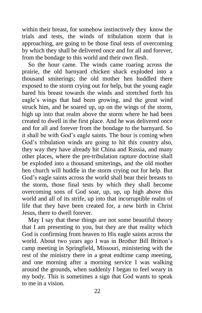within their breast, for somehow instinctively they know the trials and tests, the winds of tribulation storm that is approaching, are going to be those final tests of overcoming by which they shall be delivered once and for all and forever, from the bondage to this world and their own flesh.

 So the hour came. The winds came roaring across the prairie, the old barnyard chicken shack exploded into a thousand smiterings; the old mother hen huddled there exposed to the storm crying out for help, but the young eagle bared his breast towards the winds and stretched forth his eagle's wings that had been growing, and the great wind struck him, and he soared up, up on the wings of the storm, high up into that realm above the storm where he had been created to dwell in the first place. And he was delivered once and for all and forever from the bondage to the barnyard. So it shall be with God's eagle saints. The hour is coming when God's tribulation winds are going to hit this country also, they way they have already hit China and Russia, and many other places, where the pre-tribulation rapture doctrine shall be exploded into a thousand smiterings, and the old mother hen church will huddle in the storm crying out for help. But God's eagle saints across the world shall bear their breasts to the storm, those final tests by which they shall become overcoming sons of God soar, up, up, up high above this world and all of its strife, up into that incorruptible realm of life that they have been created for, a new birth in Christ Jesus, there to dwell forever.

 May I say that these things are not some beautiful theory that I am presenting to you, but they are that reality which God is confirming from heaven to His eagle saints across the world. About two years ago I was in Brother Bill Britton's camp meeting in Springfield, Missouri, ministering with the rest of the ministry there in a great endtime camp meeting, and one morning after a morning service I was walking around the grounds, when suddenly I began to feel weary in my body. This is sometimes a sign that God wants to speak to me in a vision.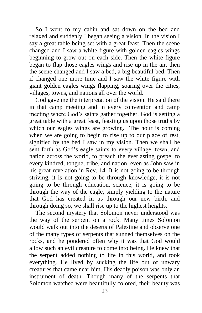So I went to my cabin and sat down on the bed and relaxed and suddenly I began seeing a vision. In the vision I say a great table being set with a great feast. Then the scene changed and I saw a white figure with golden eagles wings beginning to grow out on each side. Then the white figure began to flap those eagles wings and rise up in the air, then the scene changed and I saw a bed, a big beautiful bed. Then if changed one more time and I saw the white figure with giant golden eagles wings flapping, soaring over the cities, villages, towns, and nations all over the world.

 God gave me the interpretation of the vision. He said there in that camp meeting and in every convention and camp meeting where God's saints gather together, God is setting a great table with a great feast, feasting us upon those truths by which our eagles wings are growing. The hour is coming when we are going to begin to rise up to our place of rest, signified by the bed I saw in my vision. Then we shall be sent forth as God's eagle saints to every village, town, and nation across the world, to preach the everlasting gospel to every kindred, tongue, tribe, and nation, even as John saw in his great revelation in Rev. 14. It is not going to be through striving, it is not going to be through knowledge, it is not going to be through education, science, it is going to be through the way of the eagle, simply yielding to the nature that God has created in us through our new birth, and through doing so, we shall rise up to the highest heights.

 The second mystery that Solomon never understood was the way of the serpent on a rock. Many times Solomon would walk out into the deserts of Palestine and observe one of the many types of serpents that sunned themselves on the rocks, and he pondered often why it was that God would allow such an evil creature to come into being. He knew that the serpent added nothing to life in this world, and took everything. He lived by sucking the life out of unwary creatures that came near him. His deadly poison was only an instrument of death. Though many of the serpents that Solomon watched were beautifully colored, their beauty was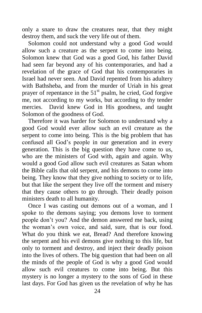only a snare to draw the creatures near, that they might destroy them, and suck the very life out of them.

 Solomon could not understand why a good God would allow such a creature as the serpent to come into being. Solomon knew that God was a good God, his father David had seen far beyond any of his contemporaries, and had a revelation of the grace of God that his contemporaries in Israel had never seen. And David repented from his adultery with Bathsheba, and from the murder of Uriah in his great prayer of repentance in the 51<sup>st</sup> psalm, he cried, God forgive me, not according to my works, but according to thy tender mercies. David knew God in His goodness, and taught Solomon of the goodness of God.

 Therefore it was harder for Solomon to understand why a good God would ever allow such an evil creature as the serpent to come into being. This is the big problem that has confused all God's people in our generation and in every generation. This is the big question they have come to us, who are the ministers of God with, again and again. Why would a good God allow such evil creatures as Satan whom the Bible calls that old serpent, and his demons to come into being. They know that they give nothing to society or to life, but that like the serpent they live off the torment and misery that they cause others to go through. Their deadly poison ministers death to all humanity.

 Once I was casting out demons out of a woman, and I spoke to the demons saying; you demons love to torment people don't you? And the demon answered me back, using the woman's own voice, and said, sure, that is our food. What do you think we eat, Bread? And therefore knowing the serpent and his evil demons give nothing to this life, but only to torment and destroy, and inject their deadly poison into the lives of others. The big question that had been on all the minds of the people of God is why a good God would allow such evil creatures to come into being. But this mystery is no longer a mystery to the sons of God in these last days. For God has given us the revelation of why he has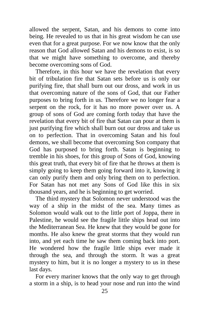allowed the serpent, Satan, and his demons to come into being. He revealed to us that in his great wisdom he can use even that for a great purpose. For we now know that the only reason that God allowed Satan and his demons to exist, is so that we might have something to overcome, and thereby become overcoming sons of God.

 Therefore, in this hour we have the revelation that every bit of tribulation fire that Satan sets before us is only our purifying fire, that shall burn out our dross, and work in us that overcoming nature of the sons of God, that our Father purposes to bring forth in us. Therefore we no longer fear a serpent on the rock, for it has no more power over us. A group of sons of God are coming forth today that have the revelation that every bit of fire that Satan can pour at them is just purifying fire which shall burn out our dross and take us on to perfection. That in overcoming Satan and his foul demons, we shall become that overcoming Son company that God has purposed to bring forth. Satan is beginning to tremble in his shoes, for this group of Sons of God, knowing this great truth, that every bit of fire that he throws at them is simply going to keep them going forward into it, knowing it can only purify them and only bring them on to perfection. For Satan has not met any Sons of God like this in six thousand years, and he is beginning to get worried.

 The third mystery that Solomon never understood was the way of a ship in the midst of the sea. Many times as Solomon would walk out to the little port of Joppa, there in Palestine, he would see the fragile little ships head out into the Mediterranean Sea. He knew that they would be gone for months. He also knew the great storms that they would run into, and yet each time he saw them coming back into port. He wondered how the fragile little ships ever made it through the sea, and through the storm. It was a great mystery to him, but it is no longer a mystery to us in these last days.

 For every mariner knows that the only way to get through a storm in a ship, is to head your nose and run into the wind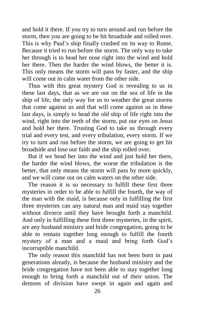and hold it there. If you try to turn around and run before the storm, then you are going to be hit broadside and rolled over. This is why Paul's ship finally crashed on its way to Rome. Because it tried to run before the storm. The only way to take her through is to head her nose right into the wind and hold her there. Then the harder the wind blows, the better it is. This only means the storm will pass by faster, and the ship will come out in calm water from the other side.

 Thus with this great mystery God is revealing to us in these last days, that as we are out on the sea of life in the ship of life, the only way for us to weather the great storms that come against us and that will come against us in these last days, is simply to head the old ship of life right into the wind, right into the teeth of the storm, put our eyes on Jesus and hold her there. Trusting God to take us through every trial and every test, and every tribulation, every storm. If we try to turn and run before the storm, we are going to get hit broadside and lose our faith and the ship rolled over.

 But if we head her into the wind and just hold her there, the harder the wind blows, the worse the tribulation is the better, that only means the storm will pass by more quickly, and we will come out on calm waters on the other side.

 The reason it is so necessary to fulfill these first three mysteries in order to be able to fulfill the fourth, the way of the man with the maid, is because only in fulfilling the first three mysteries can any natural man and maid stay together without divorce until they have brought forth a manchild. And only in fulfilling these first three mysteries, in the spirit, are any husband ministry and bride congregation, going to be able to remain together long enough to fulfill the fourth mystery of a man and a maid and bring forth God's incorruptible manchild.

 The only reason this manchild has not been born in past generations already, is because the husband ministry and the bride congregation have not been able to stay together long enough to bring forth a manchild out of their union. The demons of division have swept in again and again and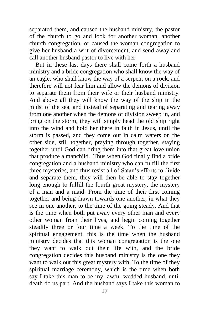separated them, and caused the husband ministry, the pastor of the church to go and look for another woman, another church congregation, or caused the woman congregation to give her husband a writ of divorcement, and send away and call another husband pastor to live with her.

 But in these last days there shall come forth a husband ministry and a bride congregation who shall know the way of an eagle, who shall know the way of a serpent on a rock, and therefore will not fear him and allow the demons of division to separate them from their wife or their husband ministry. And above all they will know the way of the ship in the midst of the sea, and instead of separating and tearing away from one another when the demons of division sweep in, and bring on the storm, they will simply head the old ship right into the wind and hold her there in faith in Jesus, until the storm is passed, and they come out in calm waters on the other side, still together, praying through together, staying together until God can bring them into that great love union that produce a manchild. Thus when God finally find a bride congregation and a husband ministry who can fulfill the first three mysteries, and thus resist all of Satan's efforts to divide and separate them, they will then be able to stay together long enough to fulfill the fourth great mystery, the mystery of a man and a maid. From the time of their first coming together and being drawn towards one another, in what they see in one another, to the time of the going steady. And that is the time when both put away every other man and every other woman from their lives, and begin coming together steadily three or four time a week. To the time of the spiritual engagement, this is the time when the husband ministry decides that this woman congregation is the one they want to walk out their life with, and the bride congregation decides this husband ministry is the one they want to walk out this great mystery with. To the time of they spiritual marriage ceremony, which is the time when both say I take this man to be my lawful wedded husband, until death do us part. And the husband says I take this woman to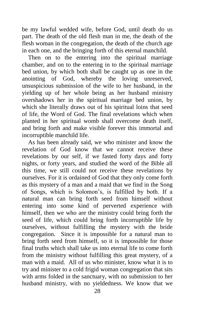be my lawful wedded wife, before God, until death do us part. The death of the old flesh man in me, the death of the flesh woman in the congregation, the death of the church age in each one, and the bringing forth of this eternal manchild.

Then on to the entering into the spiritual marriage chamber, and on to the entering in to the spiritual marriage bed union, by which both shall be caught up as one in the anointing of God, whereby the loving unreserved, unsuspicious submission of the wife to her husband, in the yielding up of her whole being as her husband ministry overshadows her in the spiritual marriage bed union, by which she literally draws out of his spiritual loins that seed of life, the Word of God. The final revelations which when planted in her spiritual womb shall overcome death itself, and bring forth and make visible forever this immortal and incorruptible manchild life.

 As has been already said, we who minister and know the revelation of God know that we cannot receive these revelations by our self, if we fasted forty days and forty nights, or forty years, and studied the word of the Bible all this time, we still could not receive these revelations by ourselves. For it is ordained of God that they only come forth as this mystery of a man and a maid that we find in the Song of Songs, which is Solomon's, is fulfilled by both. If a natural man can bring forth seed from himself without entering into some kind of perverted experience with himself, then we who are the ministry could bring forth the seed of life, which could bring forth incorruptible life by ourselves, without fulfilling the mystery with the bride congregation. Since it is impossible for a natural man to bring forth seed from himself, so it is impossible for those final truths which shall take us into eternal life to come forth from the ministry without fulfilling this great mystery, of a man with a maid. All of us who minister, know what it is to try and minister to a cold frigid woman congregation that sits with arms folded in the sanctuary, with no submission to her husband ministry, with no yieldedness. We know that we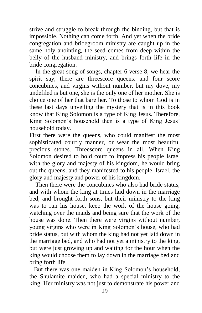strive and struggle to break through the binding, but that is impossible. Nothing can come forth. And yet when the bride congregation and bridegroom ministry are caught up in the same holy anointing, the seed comes from deep within the belly of the husband ministry, and brings forth life in the bride congregation.

 In the great song of songs, chapter 6 verse 8, we hear the spirit say, there are threescore queens, and four score concubines, and virgins without number, but my dove, my undefiled is but one, she is the only one of her mother. She is choice one of her that bare her. To those to whom God is in these last days unveiling the mystery that is in this book know that King Solomon is a type of King Jesus. Therefore, King Solomon's household then is a type of King Jesus' household today.

First there were the queens, who could manifest the most sophisticated courtly manner, or wear the most beautiful precious stones. Threescore queens in all. When King Solomon desired to hold court to impress his people Israel with the glory and majesty of his kingdom, he would bring out the queens, and they manifested to his people, Israel, the glory and majesty and power of his kingdom.

 Then there were the concubines who also had bride status, and with whom the king at times laid down in the marriage bed, and brought forth sons, but their ministry to the king was to run his house, keep the work of the house going, watching over the maids and being sure that the work of the house was done. Then there were virgins without number, young virgins who were in King Solomon's house, who had bride status, but with whom the king had not yet laid down in the marriage bed, and who had not yet a ministry to the king, but were just growing up and waiting for the hour when the king would choose them to lay down in the marriage bed and bring forth life.

 But there was one maiden in King Solomon's household, the Shulamite maiden, who had a special ministry to the king. Her ministry was not just to demonstrate his power and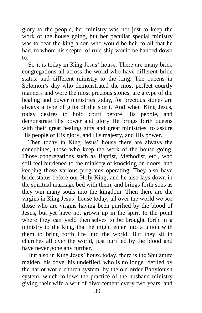glory to the people, her ministry was not just to keep the work of the house going, but her peculiar special ministry was to bear the king a son who would be heir to all that he had, to whom his scepter of rulership would be handed down to.

 So it is today in King Jesus' house. There are many bride congregations all across the world who have different bride status, and different ministry to the king. The queens in Solomon's day who demonstrated the most perfect courtly manners and wore the most precious stones, are a type of the healing and power ministries today, for precious stones are always a type of gifts of the spirit. And when King Jesus, today desires to hold court before His people, and demonstrate His power and glory He brings forth queens with their great healing gifts and great ministries, to assure His people of His glory, and His majesty, and His power.

 Then today in King Jesus' house there are always the concubines, those who keep the work of the house going. Those congregations such as Baptist, Methodist, etc., who still feel burdened to the ministry of knocking on doors, and keeping those various programs operating. They also have bride status before our Holy King, and he also lays down in the spiritual marriage bed with them, and brings forth sons as they win many souls into the kingdom. Then there are the virgins in King Jesus' house today, all over the world we see those who are virgins having been purified by the blood of Jesus, but yet have not grown up in the spirit to the point where they can yield themselves to be brought forth in a ministry to the king, that he might enter into a union with them to bring forth life into the world. But they sit in churches all over the world, just purified by the blood and have never gone any further.

 But also in King Jesus' house today, there is the Shulamite maiden, his dove, his undefiled, who is no longer defiled by the harlot world church system, by the old order Babylonish system, which follows the practice of the husband ministry giving their wife a writ of divorcement every two years, and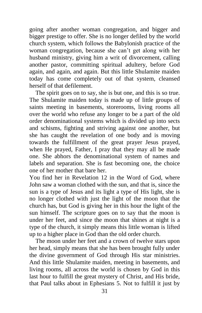going after another woman congregation, and bigger and bigger prestige to offer. She is no longer defiled by the world church system, which follows the Babylonish practice of the woman congregation, because she can't get along with her husband ministry, giving him a writ of divorcement, calling another pastor, committing spiritual adultery, before God again, and again, and again. But this little Shulamite maiden today has come completely out of that system, cleansed herself of that defilement.

 The spirit goes on to say, she is but one, and this is so true. The Shulamite maiden today is made up of little groups of saints meeting in basements, storerooms, living rooms all over the world who refuse any longer to be a part of the old order denominational systems which is divided up into sects and schisms, fighting and striving against one another, but she has caught the revelation of one body and is moving towards the fulfillment of the great prayer Jesus prayed, when He prayed, Father, I pray that they may all be made one. She abhors the denominational system of names and labels and separation. She is fast becoming one, the choice one of her mother that bare her.

You find her in Revelation 12 in the Word of God, where John saw a woman clothed with the sun, and that is, since the sun is a type of Jesus and its light a type of His light, she is no longer clothed with just the light of the moon that the church has, but God is giving her in this hour the light of the sun himself. The scripture goes on to say that the moon is under her feet, and since the moon that shines at night is a type of the church, it simply means this little woman is lifted up to a higher place in God than the old order church.

 The moon under her feet and a crown of twelve stars upon her head, simply means that she has been brought fully under the divine government of God through His star ministries. And this little Shulamite maiden, meeting in basements, and living rooms, all across the world is chosen by God in this last hour to fulfill the great mystery of Christ, and His bride, that Paul talks about in Ephesians 5. Not to fulfill it just by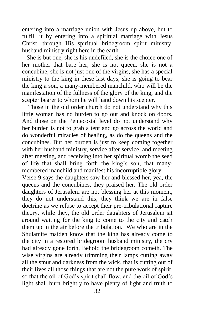entering into a marriage union with Jesus up above, but to fulfill it by entering into a spiritual marriage with Jesus Christ, through His spiritual bridegroom spirit ministry, husband ministry right here in the earth.

 She is but one, she is his undefiled, she is the choice one of her mother that bare her, she is not queen, she is not a concubine, she is not just one of the virgins, she has a special ministry to the king in these last days, she is going to bear the king a son, a many-membered manchild, who will be the manifestation of the fullness of the glory of the king, and the scepter bearer to whom he will hand down his scepter.

 Those in the old order church do not understand why this little woman has no burden to go out and knock on doors. And those on the Pentecostal level do not understand why her burden is not to grab a tent and go across the world and do wonderful miracles of healing, as do the queens and the concubines. But her burden is just to keep coming together with her husband ministry, service after service, and meeting after meeting, and receiving into her spiritual womb the seed of life that shall bring forth the king's son, that manymembered manchild and manifest his incorruptible glory.

Verse 9 says the daughters saw her and blessed her, yea, the queens and the concubines, they praised her. The old order daughters of Jerusalem are not blessing her at this moment, they do not understand this, they think we are in false doctrine as we refuse to accept their pre-tribulational rapture theory, while they, the old order daughters of Jerusalem sit around waiting for the king to come to the city and catch them up in the air before the tribulation. We who are in the Shulamite maiden know that the king has already come to the city in a restored bridegroom husband ministry, the cry had already gone forth, Behold the bridegroom cometh. The wise virgins are already trimming their lamps cutting away all the smut and darkness from the wick, that is cutting out of their lives all those things that are not the pure work of spirit, so that the oil of God's spirit shall flow, and the oil of God's light shall burn brightly to have plenty of light and truth to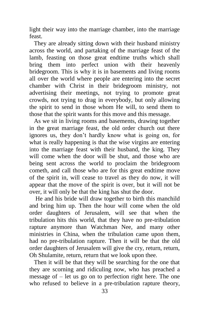light their way into the marriage chamber, into the marriage feast.

 They are already sitting down with their husband ministry across the world, and partaking of the marriage feast of the lamb, feasting on those great endtime truths which shall bring them into perfect union with their heavenly bridegroom. This is why it is in basements and living rooms all over the world where people are entering into the secret chamber with Christ in their bridegroom ministry, not advertising their meetings, not trying to promote great crowds, not trying to drag in everybody, but only allowing the spirit to send in those whom He will, to send them to those that the spirit wants for this move and this message.

 As we sit in living rooms and basements, drawing together in the great marriage feast, the old order church out there ignores us, they don't hardly know what is going on, for what is really happening is that the wise virgins are entering into the marriage feast with their husband, the king. They will come when the door will be shut, and those who are being sent across the world to proclaim the bridegroom cometh, and call those who are for this great endtime move of the spirit in, will cease to travel as they do now, it will appear that the move of the spirit is over, but it will not be over, it will only be that the king has shut the door.

 He and his bride will draw together to birth this manchild and bring him up. Then the hour will come when the old order daughters of Jerusalem, will see that when the tribulation hits this world, that they have no pre-tribulation rapture anymore than Watchman Nee, and many other ministries in China, when the tribulation came upon them, had no pre-tribulation rapture. Then it will be that the old order daughters of Jerusalem will give the cry, return, return, Oh Shulamite, return, return that we look upon thee.

 Then it will be that they will be searching for the one that they are scorning and ridiculing now, who has preached a message of – let us go on to perfection right here. The one who refused to believe in a pre-tribulation rapture theory,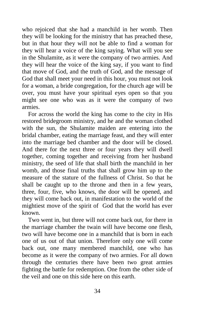who rejoiced that she had a manchild in her womb. Then they will be looking for the ministry that has preached these, but in that hour they will not be able to find a woman for they will hear a voice of the king saying. What will you see in the Shulamite, as it were the company of two armies. And they will hear the voice of the king say, if you want to find that move of God, and the truth of God, and the message of God that shall meet your need in this hour, you must not look for a woman, a bride congregation, for the church age will be over, you must have your spiritual eyes open so that you might see one who was as it were the company of two armies.

 For across the world the king has come to the city in His restored bridegroom ministry, and he and the woman clothed with the sun, the Shulamite maiden are entering into the bridal chamber, eating the marriage feast, and they will enter into the marriage bed chamber and the door will be closed. And there for the next three or four years they will dwell together, coming together and receiving from her husband ministry, the seed of life that shall birth the manchild in her womb, and those final truths that shall grow him up to the measure of the stature of the fullness of Christ. So that he shall be caught up to the throne and then in a few years, three, four, five, who knows, the door will be opened, and they will come back out, in manifestation to the world of the mightiest move of the spirit of God that the world has ever known.

 Two went in, but three will not come back out, for there in the marriage chamber the twain will have become one flesh, two will have become one in a manchild that is born in each one of us out of that union. Therefore only one will come back out, one many membered manchild, one who has become as it were the company of two armies. For all down through the centuries there have been two great armies fighting the battle for redemption. One from the other side of the veil and one on this side here on this earth.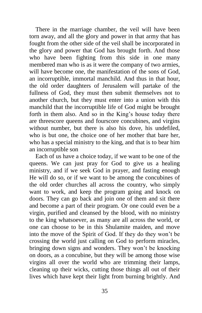There in the marriage chamber, the veil will have been torn away, and all the glory and power in that army that has fought from the other side of the veil shall be incorporated in the glory and power that God has brought forth. And those who have been fighting from this side in one many membered man who is as it were the company of two armies, will have become one, the manifestation of the sons of God, an incorruptible, immortal manchild. And thus in that hour, the old order daughters of Jerusalem will partake of the fullness of God, they must then submit themselves not to another church, but they must enter into a union with this manchild that the incorruptible life of God might be brought forth in them also. And so in the King's house today there are threescore queens and fourscore concubines, and virgins without number, but there is also his dove, his undefiled, who is but one, the choice one of her mother that bare her, who has a special ministry to the king, and that is to bear him an incorruptible son

 Each of us have a choice today, if we want to be one of the queens. We can just pray for God to give us a healing ministry, and if we seek God in prayer, and fasting enough He will do so, or if we want to be among the concubines of the old order churches all across the country, who simply want to work, and keep the program going and knock on doors. They can go back and join one of them and sit there and become a part of their program. Or one could even be a virgin, purified and cleansed by the blood, with no ministry to the king whatsoever, as many are all across the world, or one can choose to be in this Shulamite maiden, and move into the move of the Spirit of God. If they do they won't be crossing the world just calling on God to perform miracles, bringing down signs and wonders. They won't be knocking on doors, as a concubine, but they will be among those wise virgins all over the world who are trimming their lamps, cleaning up their wicks, cutting those things all out of their lives which have kept their light from burning brightly. And